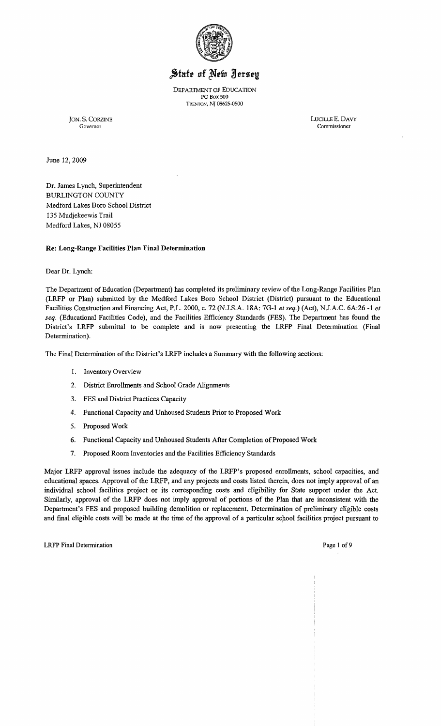

# State of New Jersey

DEPARTMENT OF EDUCATION PO Box SOD TRENTON, NJ 08625-0500

JON. S. CORZINE LUCILLEE. DAVY Governor Commissioner

June 12,2009

Dr. James Lynch, Superintendent BURLINGTON COUNTY Medford Lakes Boro School District 135 Mudjekeewis Trail Medford Lakes, NJ 08055

#### Re: Long-Range Facilities Plan Final Determination

Dear Dr. Lynch:

The Department of Education (Department) has completed its preliminary review of the Long-Range Facilities Plan (LRFP or Plan) submitted by the Medford Lakes Boro School District (District) pursuant to the Educational Facilities Construction and Financing Act, P.L. 2000, c. 72 (NJ.S.A. 18A: 7G-1 *et seq.)* (Act), N.lA.C. 6A:26 -1 *et seq.* (Educational Facilities Code), and the Facilities Efficiency Standards (FES). The Department has found the District's LRFP submittal to be complete and is now presenting the LRFP Final Determination (Final Determination).

The Final Determination of the District's LRFP includes a Summary with the following sections:

- 1. Inventory Overview
- 2. District Emollments and School Grade Alignments
- 3. FES and District Practices Capacity
- 4. Functional Capacity and Unhoused Students Prior to Proposed Work
- 5. Proposed Work
- 6. Functional Capacity and Unhoused Students After Completion of Proposed Work
- 7. Proposed Room Inventories and the Facilities Efficiency Standards

Major LRFP approval issues include the adequacy of the LRFP's proposed emollments, school capacities, and educational spaces. Approval of the LRFP, and any projects and costs listed therein, does not imply approval of an individual school facilities project or its corresponding costs and eligibility for State support under the Act. Similarly, approval of the LRFP does not imply approval of portions of the Plan that are inconsistent with the Department's FES and proposed building demolition or replacement. Determination of preliminary eligible costs and final eligible costs will be made at the time of the approval of a particular school facilities project pursuant to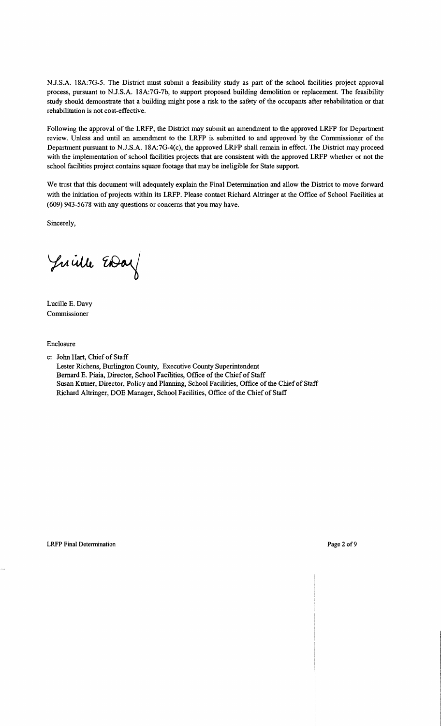N.J.S.A. 18A:7G-5. The District must submit a feasibility study as part of the school facilities project approval process, pursuant to N.J.S.A. 18A:7G-7b, to support proposed building demolition or replacement. The feasibility study should demonstrate that a building might pose a risk to the safety of the occupants after rehabilitation or that rehabilitation is not cost-effective.

Following the approval of the LRFP, the District may submit an amendment to the approved LRFP for Department review. Unless and until an amendment to the LRFP is submitted to and approved by the Commissioner of the Department pursuant to N.J.S.A. 18A:7G-4(c), the approved LRFP shall remain in effect. The District may proceed with the implementation of school facilities projects that are consistent with the approved LRFP whether or not the school facilities project contains square footage that may be ineligible for State support.

We trust that this document will adequately explain the Final Determination and allow the District to move forward with the initiation of projects within its LRFP. Please contact Richard Altringer at the Office of School Facilities at (609) 943-5678 with any questions or concerns that you may have.

Sincerely,

Juille EDay

Lucille E. Davy Commissioner

Enclosure

c: John Hart, Chief of Staff Lester Richens, Burlington County, Executive County Superintendent Bernard E. Piaia, Director, School Facilities, Office of the Chief of Staff Susan Kutner, Director, Policy and Planning, School Facilities, Office of the Chief of Staff Richard Altringer, DOE Manager, School Facilities, Office of the Chief of Staff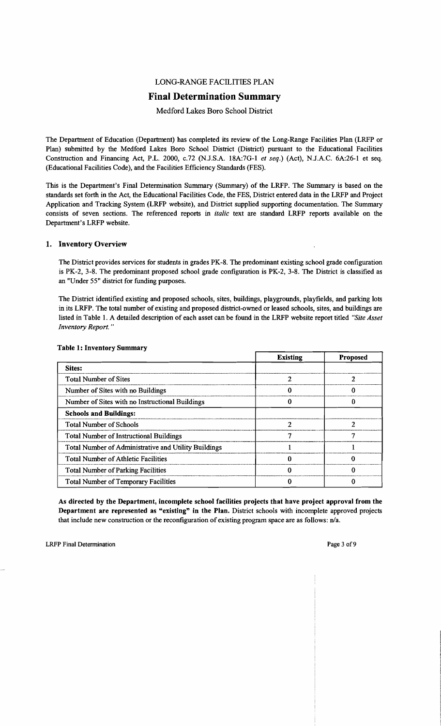## LONG-RANGE FACILITIES PLAN

## **Final Determination Summary**

## Medford Lakes Boro School District

The Department of Education (Department) has completed its review of the Long-Range Facilities Plan (LRFP or Plan) submitted by the Medford Lakes Boro School District (District) pursuant to the Educational Facilities Construction and Financing Act, P.L. 2000, *c.*72 (N.J.S.A. 18A:7G-1 *et seq.*) (Act), N.J.A.C. 6A:26-1 et seq. (Educational Facilities Code), and the Facilities Efficiency Standards (FES).

This is the Department's Final Determination Summary (Summary) of the LRFP. The Summary is based on the standards set forth in the Act, the Educational Facilities Code, the FES, District entered data in the LRFP and Project Application and Tracking System (LRFP website), and District supplied supporting documentation. The Summary consists of seven sections. The referenced reports in *italic* text are standard LRFP reports available on the Department's LRFP website.

#### 1. Inventory Overview

The District provides services for students in grades PK-8. The predominant existing school grade configuration is PK-2, 3-8. The predominant proposed school grade configuration is PK-2, 3-8. The District is classified as an "Under 55" district for funding purposes.

The District identified existing and proposed schools, sites, buildings, playgrounds, playfields, and parking lots in its LRFP. The total number of existing and proposed district-owned or leased schools, sites, and buildings are listed in Table 1. A detailed description of each asset can be found in the LRFP website report titled *"Site Asset Inventory Report. "* 

|                                                      | <b>Existing</b> | <b>Proposed</b> |
|------------------------------------------------------|-----------------|-----------------|
| <b>Sites:</b>                                        |                 |                 |
| <b>Total Number of Sites</b>                         |                 |                 |
| Number of Sites with no Buildings                    |                 |                 |
| Number of Sites with no Instructional Buildings      |                 |                 |
| <b>Schools and Buildings:</b>                        |                 |                 |
| <b>Total Number of Schools</b>                       | ി               | 7               |
| <b>Total Number of Instructional Buildings</b>       |                 |                 |
| Total Number of Administrative and Utility Buildings |                 |                 |
| <b>Total Number of Athletic Facilities</b>           |                 |                 |
| <b>Total Number of Parking Facilities</b>            |                 |                 |
| <b>Total Number of Temporary Facilities</b>          |                 |                 |

#### Table 1: Inventory Summary

As directed by the Department, incomplete school facilities projects that have project approval from the Department are represented as "existing" in the Plan. District schools with incomplete approved projects that include new construction or the reconfiguration of existing program space are as follows: n/a.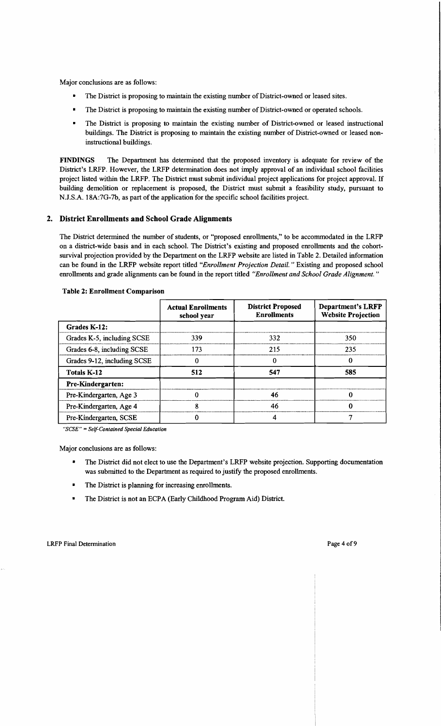Major conclusions are as follows:

- The District is proposing to maintain the existing number of District-owned or leased sites.
- The District is proposing to maintain the existing number of District-owned or operated schools.
- The District is proposing to maintain the existing number of District-owned or leased instructional buildings. The District is proposing to maintain the existing number of District-owned or leased noninstructional buildings.

FINDINGS The Department has determined that the proposed inventory is adequate for review of the District's LRFP. However, the LRFP determination does not imply approval of an individual school facilities project listed within the LRFP. The District must submit individual project applications for project approval. If building demolition or replacement is proposed, the District must submit a feasibility study, pursuant to N.J.S.A. l8A:7G-7b, as part of the application for the specific school facilities project.

#### 2. District Enrollments and School Grade Alignments

The District determined the number of students, or "proposed enrollments," to be accommodated in the LRFP on a district-wide basis and in each school. The District's existing and proposed enrollments and the cohortsurvival projection provided by the Department on the LRFP website are listed in Table 2. Detailed information can be found in the LRFP website report titled *"Enrollment Projection Detail.* " Existing and proposed school enrollments and grade alignments can be found in the report titled *"Enrollment and School Grade Alignment. "* 

|                             | <b>Actual Enrollments</b><br>school year | <b>District Proposed</b><br><b>Enrollments</b> | <b>Department's LRFP</b><br><b>Website Projection</b> |
|-----------------------------|------------------------------------------|------------------------------------------------|-------------------------------------------------------|
| Grades K-12:                |                                          |                                                |                                                       |
| Grades K-5, including SCSE  | 339                                      | 332                                            | 350                                                   |
| Grades 6-8, including SCSE  | 173                                      | 215                                            | 235                                                   |
| Grades 9-12, including SCSE |                                          |                                                | 0                                                     |
| <b>Totals K-12</b>          | 512                                      | 547                                            | 585                                                   |
| Pre-Kindergarten:           |                                          |                                                |                                                       |
| Pre-Kindergarten, Age 3     |                                          | 46                                             |                                                       |
| Pre-Kindergarten, Age 4     | ጸ                                        | 46                                             |                                                       |
| Pre-Kindergarten, SCSE      |                                          |                                                |                                                       |

#### Table 2: Enrollment Comparison

*"SCSE"* = *Self-Contained Special Education* 

Major conclusions are as follows:

- The District did not elect to use the Department's LRFP website projection. Supporting documentation was submitted to the Department as required to justify the proposed enrollments.
- The District is planning for increasing enrollments.
- The District is not an ECPA (Early Childhood Program Aid) District.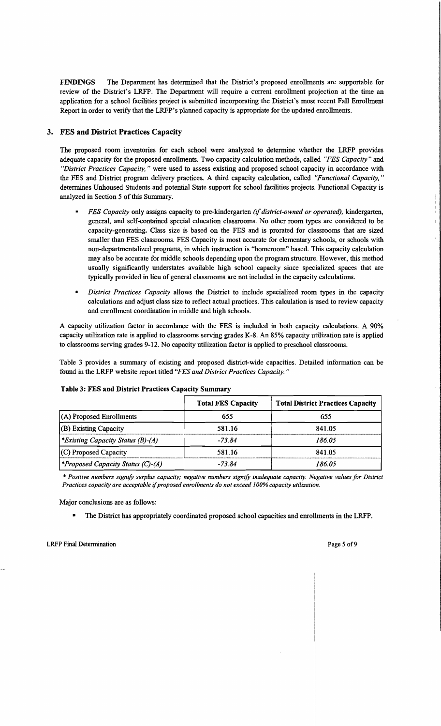FINDINGS The Department has determined that the District's proposed enrollments are supportable for review of the District's LRFP. The Department will require a current enrollment projection at the time an application for a school facilities project is submitted incorporating the District's most recent Fall Enrollment Report in order to verify that the LRFP's planned capacity is appropriate for the updated enrollments.

## 3. FES and District Practices Capacity

The proposed room inventories for each school were analyzed to determine whether the LRFP provides adequate capacity for the proposed enrollments. Two capacity calculation methods, called *"FES Capacity"* and *"District Practices Capacity,* " were used to assess existing and proposed school capacity in accordance with the FES and District program delivery practices. A third capacity calculation, called *"Functional Capacity, "*  determines Unhoused Students and potential State support for school facilities projects. Functional Capacity is analyzed in Section 5 of this Summary.

- *FES Capacity* only assigns capacity to pre-kindergarten *(if district-owned or operated)*, kindergarten, general, and self-contained special education classrooms. No other room types are considered to be capacity-generating. Class size is based on the FES and is prorated for classrooms that are sized smaller than FES classrooms. FES Capacity is most accurate for elementary schools, or schools with non-departmentalized programs, in which instruction is "homeroom" based. This capacity calculation may also be accurate for middle schools depending upon the program structure. However, this method usually significantly understates available high school capacity since specialized spaces that are typically provided in lieu ofgeneral classrooms are not included in the capacity calculations.
- *District Practices Capacity allows the District to include specialized room types in the capacity* calculations and adjust class size to reflect actual practices. This calculation is used to review capacity and enrollment coordination in middle and high schools.

A capacity utilization factor in accordance with the FES is included in both capacity calculations. A 90% capacity utilization rate is applied to classrooms serving grades K-8. An 85% capacity utilization rate is applied to classrooms serving grades 9-12. No capacity utilization factor is applied to preschool classrooms.

Table 3 provides a summary of existing and proposed district-wide capacities. Detailed information can be found in the LRFP website report titled *"FES and District Practices Capacity. "* 

| <b>Table 3: FES and District Practices Capacity Summary</b> |                           |                                          |  |  |
|-------------------------------------------------------------|---------------------------|------------------------------------------|--|--|
|                                                             | <b>Total FES Capacity</b> | <b>Total District Practices Capacity</b> |  |  |
| (A) Proposed Enrollments                                    | 655                       | 655                                      |  |  |
| (B) Existing Capacity                                       | 581.16                    | 841.05                                   |  |  |
| <i>Existing Capacity Status (B)-(A)</i>                     | $-73.84$                  | 186.05                                   |  |  |
| (C) Proposed Capacity                                       | 581.16                    | 841.05                                   |  |  |
| <i><b>*Proposed Capacity Status (C)-(A)</b></i>             | $-73.84$                  | 186.05                                   |  |  |

#### Table 3: FES and District Practices Capacity Summary

\* *Positive numbers signify surplus capacity; negative numbers signify inadequate capacity. Negative values for District Practices capacity are acceptable* if*proposed enrollments do not exceed* J*00% capacity utilization.* 

Major conclusions are as follows:

• The District has appropriately coordinated proposed school capacities and enrollments in the LRFP.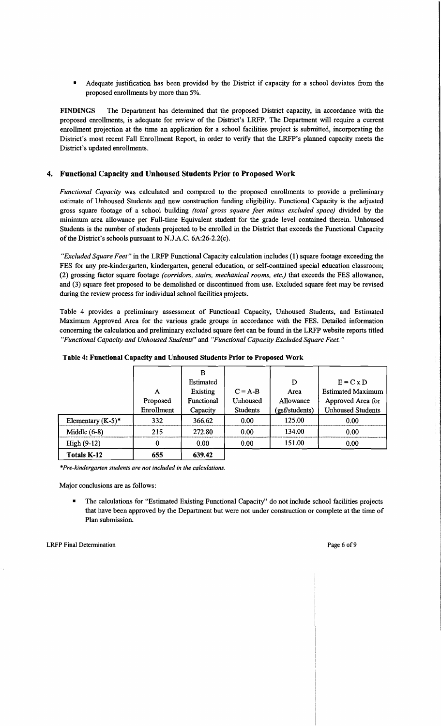Adequate justification has been provided by the District if capacity for a school deviates from the proposed enrollments by more than 5%.

FINDINGS The Department has determined that the proposed District capacity, in accordance with the proposed enrollments, is adequate for review of the District's LRFP. The Department will require a current enrollment projection at the time an application for a school facilities project is submitted, incorporating the District's most recent Fall Enrollment Report, in order to verify that the LRFP's planned capacity meets the District's updated enrollments.

#### 4. Functional Capacity and Unhoused Students Prior to Proposed Work

*Functional Capacity* was calculated and compared to the proposed enrollments to provide a preliminary estimate of Unhoused Students and new construction funding eligibility. Functional Capacity is the adjusted gross square footage of a school building *(total gross square feet minus excluded space)* divided by the minimum area allowance per Full-time Equivalent student for the grade level contained therein. Unhoused Students is the number of students projected to be enrolled in the District that exceeds the Functional Capacity of the District's schools pursuant to N.J.A.C. 6A:26-2.2(c).

*"Excluded Square Feet"* in the LRFP Functional Capacity calculation includes (I) square footage exceeding the FES for any pre-kindergarten, kindergarten, general education, or self-contained special education classroom; (2) grossing factor square footage *(corridors, stairs, mechanical rooms, etc.)* that exceeds the FES allowance, and (3) square feet proposed to be demolished or discontinued from use. Excluded square feet may be revised during the review process for individual school facilities projects.

Table 4 provides a preliminary assessment of Functional Capacity, Unhoused Students, and Estimated Maximum Approved Area for the various grade groups in accordance with the FES. Detailed information concerning the calculation and preliminary excluded square feet can be found in the LRFP website reports titled *"Functional Capacity and Unhoused Students"* and *"Functional Capacity Excluded Square Feet. "* 

|                      |            | в                 |                 |                |                          |
|----------------------|------------|-------------------|-----------------|----------------|--------------------------|
|                      |            | Estimated         |                 | D              | $E = C x D$              |
|                      | A          | Existing          | $C = A-B$       | Area           | <b>Estimated Maximum</b> |
|                      | Proposed   | <b>Functional</b> | Unhoused        | Allowance      | Approved Area for        |
|                      | Enrollment | Capacity          | <b>Students</b> | (gsf/students) | <b>Unhoused Students</b> |
| Elementary $(K-5)^*$ | 332        | 366.62            | 0.00            | 125.00         | 0.00                     |
| Middle $(6-8)$       | 215        | 272.80            | 0.00            | 134.00         | 0.00                     |
| $High(9-12)$         | 0          | 0.00              | 0.00            | 151.00         | 0.00                     |
| <b>Totals K-12</b>   | 655        | 639.42            |                 |                |                          |

#### Table 4: Functional Capacity and Unhoused Students Prior to Proposed Work

*\*Pre-kindergarten students are not included in the calculations.* 

Major conclusions are as follows:

The calculations for "Estimated Existing Functional Capacity" do not include school facilities projects that have been approved by the Department but were not under construction or complete at the time of Plan submission.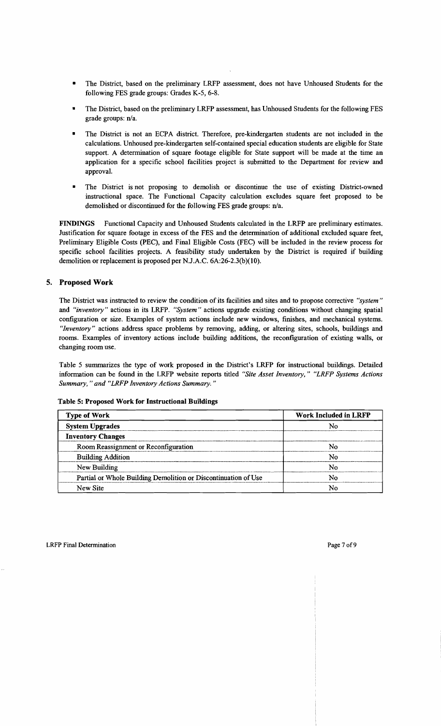- The District, based on the preliminary LRFP assessment, does not have Unhoused Students for the following FES grade groups: Grades K-5, 6-8.
- The District, based on the preliminary LRFP assessment, has Unhoused Students for the following FES grade groups: n/a.
- The District is not an ECPA district. Therefore, pre-kindergarten students are not included in the calculations. Unhoused pre-kindergarten self-contained special education students are eligible for State support. A determination of square footage eligible for State support will be made at the time an application for a specific school facilities project is submitted to the Department for review and approval.
- The District is not proposing to demolish or discontinue the use of existing District-owned instructional space. The Functional Capacity calculation excludes square feet proposed to be demolished or discontinued for the following FES grade groups: n/a.

FINDINGS Functional Capacity and Unhoused Students calculated in the LRFP are preliminary estimates. Justification for square footage in excess of the FES and the determination of additional excluded square feet, Preliminary Eligible Costs (PEC), and Final Eligible Costs (FEC) will be included in the review process for specific school facilities projects. A feasibility study undertaken by the District is required if building demolition or replacement is proposed per NJ.A.C. 6A:26-2.3(b)(1O).

## 5. Proposed Work

The District was instructed to review the condition of its facilities and sites and to propose corrective *"system"*  and *"inventory"* actions in its LRFP. *"System"* actions upgrade existing conditions without changing spatial configuration or size. Examples of system actions include new windows, finishes, and mechanical systems. *"Inventory"* actions address space problems by removing, adding, or altering sites, schools, buildings and rooms. Examples of inventory actions include building additions, the reconfiguration of existing walls, or changing room use.

Table 5 summarizes the type of work proposed in the District's LRFP for instructional buildings. Detailed information can be found in the LRFP website reports titled *"Site Asset Inventory," "LRFP Systems Actions Summary,* " *and "LRFP Inventory Actions Summary. "* 

| <b>Type of Work</b>                                            | <b>Work Included in LRFP</b> |  |  |
|----------------------------------------------------------------|------------------------------|--|--|
| <b>System Upgrades</b>                                         |                              |  |  |
| <b>Inventory Changes</b>                                       |                              |  |  |
| Room Reassignment or Reconfiguration                           | N٨                           |  |  |
| <b>Building Addition</b>                                       | N٥                           |  |  |
| New Building                                                   |                              |  |  |
| Partial or Whole Building Demolition or Discontinuation of Use | N٥                           |  |  |
| New Site                                                       |                              |  |  |

#### Table 5: Proposed Work for Instructional Buildings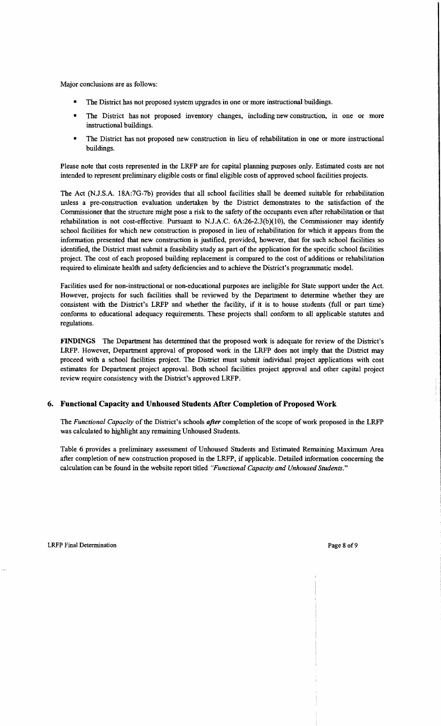Major conclusions are as follows:

- The District has not proposed system upgrades in one or more instructional buildings.
- The District has not proposed inventory changes, including new construction, in one or more instructional buildings.
- The District has not proposed new construction in lieu of rehabilitation in one or more instructional buildings.

Please note that costs represented in the LRFP are for capital planning purposes only. Estimated costs are not intended to represent preliminary eligible costs or fmal eligible costs of approved school facilities projects.

The Act (NJ.S.A. 18A:7G-7b) provides that all school facilities shall be deemed suitable for rehabilitation unless a pre-construction evaluation undertaken by the District demonstrates to the satisfaction of the Commissioner that the structure might pose a risk to the safety of the occupants even after rehabilitation or that rehabilitation is not cost-effective. Pursuant to N.J.A.C.  $6A:26-2.3(b)(10)$ , the Commissioner may identify school facilities for which new construction is proposed in lieu of rehabilitation for which it appears from the information presented that new construction is justified, provided, however, that for such school facilities so identified, the District must submit a feasibility study as part of the application for the specific school facilities project. The cost of each proposed building replacement is compared to the cost of additions or rehabilitation required to eliminate health and safety deficiencies and to achieve the District's programmatic model.

Facilities used for non-instructional or non-educational purposes are ineligible for State support under the Act. However, projects for such facilities shall be reviewed by the Department to determine whether they are consistent with the District's LRFP and whether the facility, if it is to house students (full or part time) conforms to educational adequacy requirements. These projects shall conform to all applicable statutes and regulations.

FINDINGS The Department has determined that the proposed work is adequate for review of the District's LRFP. However, Department approval of proposed work in the LRFP does not imply that the District may proceed with a school facilities project. The District must submit individual project applications with cost estimates for Department project approval. Both school facilities project approval and other capital project review require consistency with the District's approved LRFP.

#### 6. Functional Capacity and Unhoused Students After Completion of Proposed Work

The *Functional Capacity* of the District's schools *after* completion of the scope of work proposed in the LRFP was calculated to highlight any remaining Unhoused Students.

Table 6 provides a preliminary assessment of Unhoused Students and Estimated Remaining Maximum Area after completion of new construction proposed in the LRFP, if applicable. Detailed information concerning the calculation can be found in the website report titled *"Functional Capacity and Unhoused Students."*